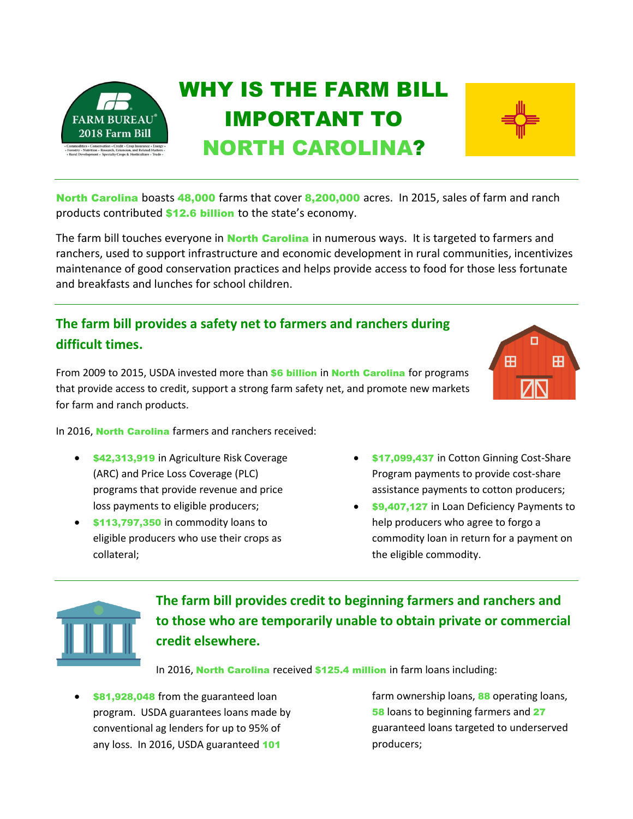



The farm bill touches everyone in **North Carolina** in numerous ways. It is targeted to farmers and ranchers, used to support infrastructure and economic development in rural communities, incentivizes maintenance of good conservation practices and helps provide access to food for those less fortunate and breakfasts and lunches for school children.

### **The farm bill provides a safety net to farmers and ranchers during difficult times.**

From 2009 to 2015, USDA invested more than \$6 billion in North Carolina for programs that provide access to credit, support a strong farm safety net, and promote new markets for farm and ranch products.

In 2016, North Carolina farmers and ranchers received:

- **\$42,313,919** in Agriculture Risk Coverage (ARC) and Price Loss Coverage (PLC) programs that provide revenue and price loss payments to eligible producers;
- **\$113,797,350** in commodity loans to eligible producers who use their crops as collateral;
- \$17,099,437 in Cotton Ginning Cost-Share Program payments to provide cost-share assistance payments to cotton producers;
- \$9,407,127 in Loan Deficiency Payments to help producers who agree to forgo a commodity loan in return for a payment on the eligible commodity.



**The farm bill provides credit to beginning farmers and ranchers and to those who are temporarily unable to obtain private or commercial credit elsewhere.** 

In 2016, North Carolina received \$125.4 million in farm loans including:

\$81,928,048 from the guaranteed loan program. USDA guarantees loans made by conventional ag lenders for up to 95% of any loss. In 2016, USDA guaranteed 101

farm ownership loans, 88 operating loans, 58 loans to beginning farmers and 27 guaranteed loans targeted to underserved producers;

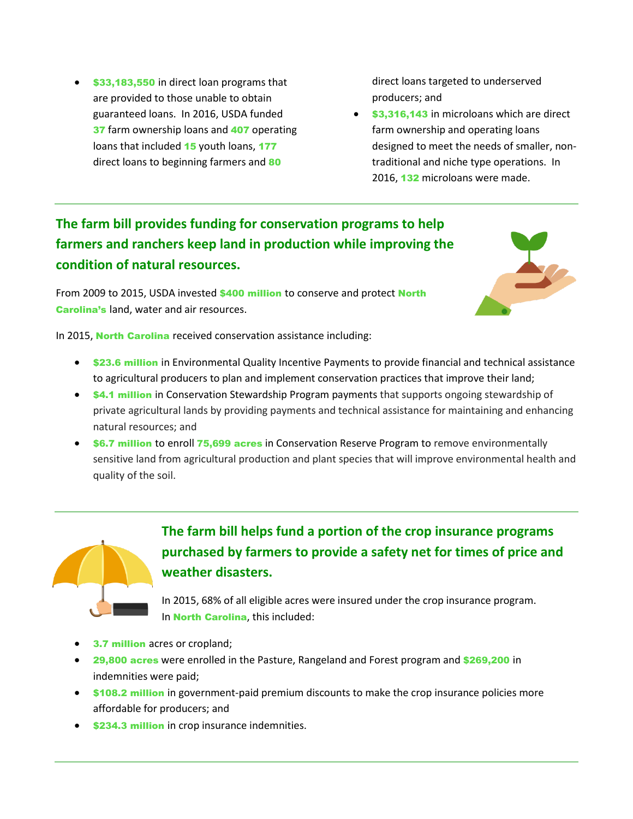**\$33,183,550** in direct loan programs that are provided to those unable to obtain guaranteed loans. In 2016, USDA funded 37 farm ownership loans and 407 operating loans that included 15 youth loans, 177 direct loans to beginning farmers and 80

direct loans targeted to underserved producers; and

**\$3,316,143** in microloans which are direct farm ownership and operating loans designed to meet the needs of smaller, nontraditional and niche type operations. In 2016, 132 microloans were made.

# **The farm bill provides funding for conservation programs to help farmers and ranchers keep land in production while improving the condition of natural resources.**

From 2009 to 2015, USDA invested \$400 million to conserve and protect North Carolina's land, water and air resources.



In 2015, North Carolina received conservation assistance including:

- **\$23.6 million** in Environmental Quality Incentive Payments to provide financial and technical assistance to agricultural producers to plan and implement conservation practices that improve their land;
- **64.1 million** in Conservation Stewardship Program payments that supports ongoing stewardship of private agricultural lands by providing payments and technical assistance for maintaining and enhancing natural resources; and
- \$6.7 million to enroll 75,699 acres in Conservation Reserve Program to remove environmentally sensitive land from agricultural production and plant species that will improve environmental health and quality of the soil.



**The farm bill helps fund a portion of the crop insurance programs purchased by farmers to provide a safety net for times of price and weather disasters.** 

In 2015, 68% of all eligible acres were insured under the crop insurance program. In North Carolina, this included:

- **3.7 million** acres or cropland;
- 29,800 acres were enrolled in the Pasture, Rangeland and Forest program and \$269,200 in indemnities were paid;
- **\$108.2 million** in government-paid premium discounts to make the crop insurance policies more affordable for producers; and
- **\$234.3 million** in crop insurance indemnities.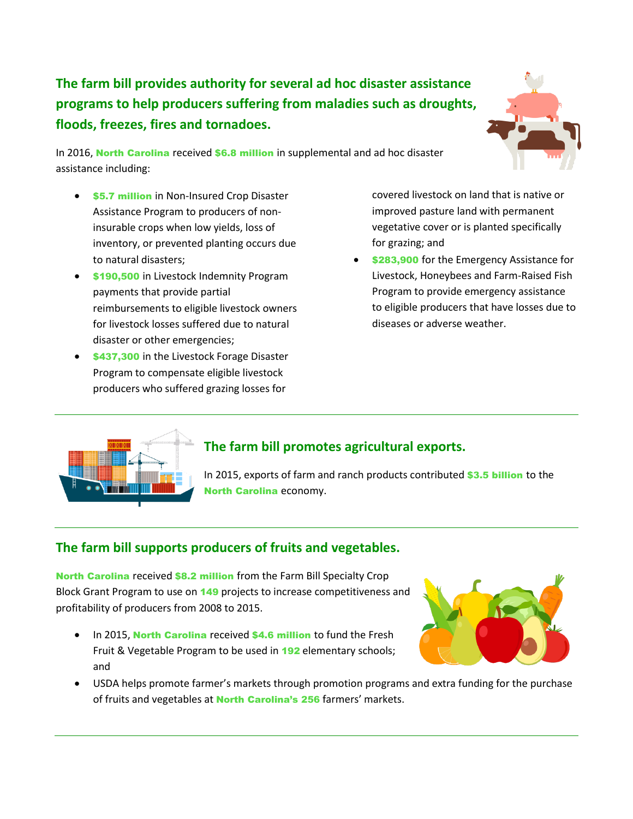**The farm bill provides authority for several ad hoc disaster assistance programs to help producers suffering from maladies such as droughts, floods, freezes, fires and tornadoes.** 

In 2016, North Carolina received \$6.8 million in supplemental and ad hoc disaster assistance including:

- **\$5.7 million** in Non-Insured Crop Disaster Assistance Program to producers of noninsurable crops when low yields, loss of inventory, or prevented planting occurs due to natural disasters;
- \$190,500 in Livestock Indemnity Program payments that provide partial reimbursements to eligible livestock owners for livestock losses suffered due to natural disaster or other emergencies;
- \$437,300 in the Livestock Forage Disaster Program to compensate eligible livestock producers who suffered grazing losses for

covered livestock on land that is native or improved pasture land with permanent vegetative cover or is planted specifically for grazing; and

\$283,900 for the Emergency Assistance for Livestock, Honeybees and Farm-Raised Fish Program to provide emergency assistance to eligible producers that have losses due to diseases or adverse weather.



### **The farm bill promotes agricultural exports.**

In 2015, exports of farm and ranch products contributed \$3.5 billion to the North Carolina economy.

### **The farm bill supports producers of fruits and vegetables.**

North Carolina received \$8.2 million from the Farm Bill Specialty Crop Block Grant Program to use on 149 projects to increase competitiveness and profitability of producers from 2008 to 2015.

• In 2015, North Carolina received \$4.6 million to fund the Fresh Fruit & Vegetable Program to be used in 192 elementary schools; and



 USDA helps promote farmer's markets through promotion programs and extra funding for the purchase of fruits and vegetables at **North Carolina's 256** farmers' markets.